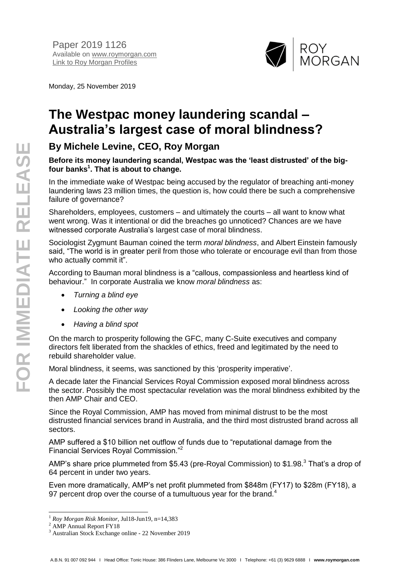

Monday, 25 November 2019

## **The Westpac money laundering scandal – Australia's largest case of moral blindness?**

## **By Michele Levine, CEO, Roy Morgan**

## **Before its money laundering scandal, Westpac was the 'least distrusted' of the bigfour banks<sup>1</sup> . That is about to change.**

In the immediate wake of Westpac being accused by the regulator of breaching anti-money laundering laws 23 million times, the question is, how could there be such a comprehensive failure of governance?

Shareholders, employees, customers – and ultimately the courts – all want to know what went wrong. Was it intentional or did the breaches go unnoticed? Chances are we have witnessed corporate Australia's largest case of moral blindness.

Sociologist Zygmunt Bauman coined the term *moral blindness*, and Albert Einstein famously said, "The world is in greater peril from those who tolerate or encourage evil than from those who actually commit it".

According to Bauman moral blindness is a "callous, compassionless and heartless kind of behaviour." In corporate Australia we know *moral blindness* as:

- *Turning a blind eye*
- *Looking the other way*
- *Having a blind spot*

On the march to prosperity following the GFC, many C-Suite executives and company directors felt liberated from the shackles of ethics, freed and legitimated by the need to rebuild shareholder value.

Moral blindness, it seems, was sanctioned by this 'prosperity imperative'.

A decade later the Financial Services Royal Commission exposed moral blindness across the sector. Possibly the most spectacular revelation was the moral blindness exhibited by the then AMP Chair and CEO.

Since the Royal Commission, AMP has moved from minimal distrust to be the most distrusted financial services brand in Australia, and the third most distrusted brand across all sectors.

AMP suffered a \$10 billion net outflow of funds due to "reputational damage from the Financial Services Royal Commission."<sup>2</sup>

AMP's share price plummeted from \$5.43 (pre-Royal Commission) to \$1.98.<sup>3</sup> That's a drop of 64 percent in under two years.

Even more dramatically, AMP's net profit plummeted from \$848m (FY17) to \$28m (FY18), a 97 percent drop over the course of a tumultuous year for the brand.<sup>4</sup>

 $\overline{a}$ 

<sup>1</sup> *Roy Morgan Risk Monitor,* Jul18-Jun19, n=14,383

<sup>&</sup>lt;sup>2</sup> AMP Annual Report FY18

<sup>3</sup> Australian Stock Exchange online - 22 November 2019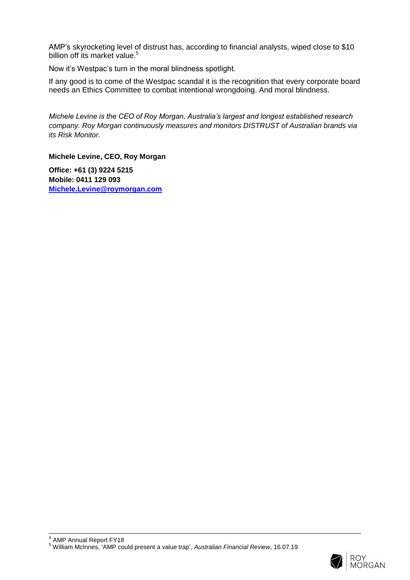AMP's skyrocketing level of distrust has, according to financial analysts, wiped close to \$10 billion off its market value.<sup>5</sup>

Now it's Westpac's turn in the moral blindness spotlight.

If any good is to come of the Westpac scandal it is the recognition that every corporate board needs an Ethics Committee to combat intentional wrongdoing. And moral blindness.

*Michele Levine is the CEO of Roy Morgan, Australia's largest and longest established research company. Roy Morgan continuously measures and monitors DISTRUST of Australian brands via its Risk Monitor.*

**Michele Levine, CEO, Roy Morgan**

**Office: +61 (3) 9224 5215 Mobile: 0411 129 093 [Michele.Levine@roymorgan.com](mailto:Michele.Levine@roymorgan.com)**